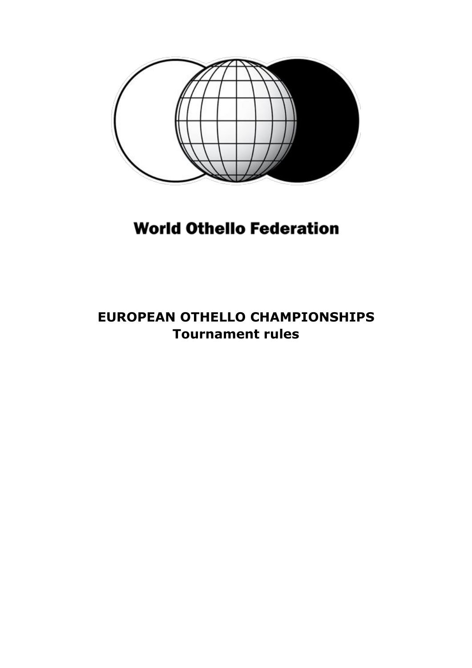

# **World Othello Federation**

### **EUROPEAN OTHELLO CHAMPIONSHIPS Tournament rules**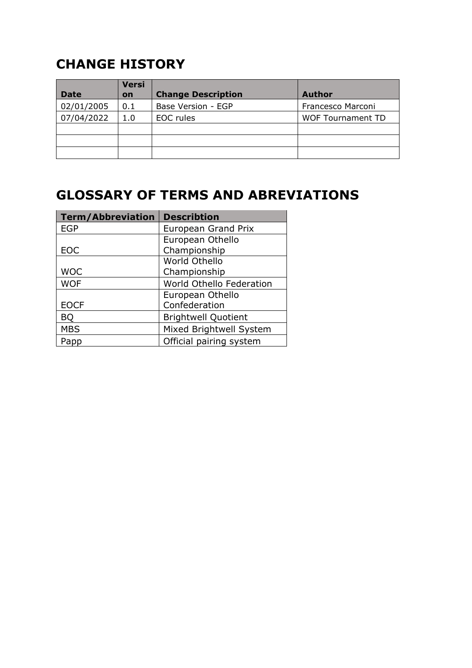## **CHANGE HISTORY**

|             | <b>Versi</b> |                           |                          |
|-------------|--------------|---------------------------|--------------------------|
| <b>Date</b> | on           | <b>Change Description</b> | Author                   |
| 02/01/2005  | 0.1          | Base Version - EGP        | Francesco Marconi        |
| 07/04/2022  | 1.0          | EOC rules                 | <b>WOF Tournament TD</b> |
|             |              |                           |                          |
|             |              |                           |                          |
|             |              |                           |                          |

### **GLOSSARY OF TERMS AND ABREVIATIONS**

| <b>Term/Abbreviation</b> | <b>Describtion</b>         |
|--------------------------|----------------------------|
| <b>EGP</b>               | <b>European Grand Prix</b> |
|                          | European Othello           |
| <b>EOC</b>               | Championship               |
|                          | World Othello              |
| <b>WOC</b>               | Championship               |
| <b>WOF</b>               | World Othello Federation   |
|                          | European Othello           |
| <b>EOCF</b>              | Confederation              |
| BQ                       | <b>Brightwell Quotient</b> |
| <b>MBS</b>               | Mixed Brightwell System    |
| Papp                     | Official pairing system    |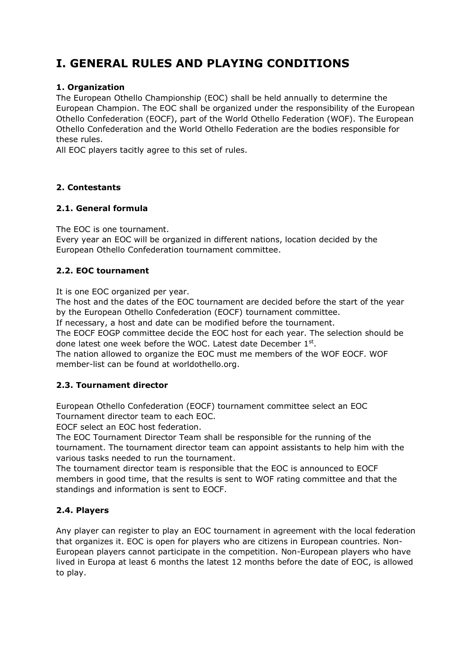### **I. GENERAL RULES AND PLAYING CONDITIONS**

#### **1. Organization**

The European Othello Championship (EOC) shall be held annually to determine the European Champion. The EOC shall be organized under the responsibility of the European Othello Confederation (EOCF), part of the World Othello Federation (WOF). The European Othello Confederation and the World Othello Federation are the bodies responsible for these rules.

All EOC players tacitly agree to this set of rules.

#### **2. Contestants**

#### **2.1. General formula**

The EOC is one tournament.

Every year an EOC will be organized in different nations, location decided by the European Othello Confederation tournament committee.

#### **2.2. EOC tournament**

It is one EOC organized per year.

The host and the dates of the EOC tournament are decided before the start of the year by the European Othello Confederation (EOCF) tournament committee.

If necessary, a host and date can be modified before the tournament.

The EOCF EOGP committee decide the EOC host for each year. The selection should be done latest one week before the WOC. Latest date December 1st.

The nation allowed to organize the EOC must me members of the WOF EOCF. WOF member-list can be found at worldothello.org.

#### **2.3. Tournament director**

European Othello Confederation (EOCF) tournament committee select an EOC Tournament director team to each EOC.

EOCF select an EOC host federation.

The EOC Tournament Director Team shall be responsible for the running of the tournament. The tournament director team can appoint assistants to help him with the various tasks needed to run the tournament.

The tournament director team is responsible that the EOC is announced to EOCF members in good time, that the results is sent to WOF rating committee and that the standings and information is sent to EOCF.

#### **2.4. Players**

Any player can register to play an EOC tournament in agreement with the local federation that organizes it. EOC is open for players who are citizens in European countries. Non-European players cannot participate in the competition. Non-European players who have lived in Europa at least 6 months the latest 12 months before the date of EOC, is allowed to play.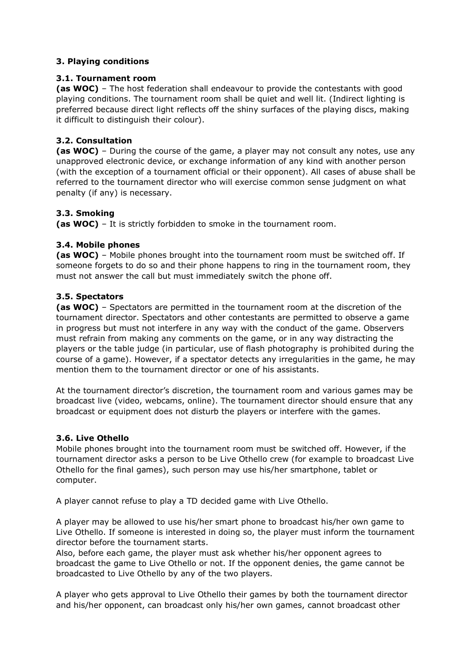#### **3. Playing conditions**

#### **3.1. Tournament room**

**(as WOC)** – The host federation shall endeavour to provide the contestants with good playing conditions. The tournament room shall be quiet and well lit. (Indirect lighting is preferred because direct light reflects off the shiny surfaces of the playing discs, making it difficult to distinguish their colour).

#### **3.2. Consultation**

**(as WOC)** – During the course of the game, a player may not consult any notes, use any unapproved electronic device, or exchange information of any kind with another person (with the exception of a tournament official or their opponent). All cases of abuse shall be referred to the tournament director who will exercise common sense judgment on what penalty (if any) is necessary.

#### **3.3. Smoking**

**(as WOC)** – It is strictly forbidden to smoke in the tournament room.

#### **3.4. Mobile phones**

**(as WOC)** – Mobile phones brought into the tournament room must be switched off. If someone forgets to do so and their phone happens to ring in the tournament room, they must not answer the call but must immediately switch the phone off.

#### **3.5. Spectators**

**(as WOC)** – Spectators are permitted in the tournament room at the discretion of the tournament director. Spectators and other contestants are permitted to observe a game in progress but must not interfere in any way with the conduct of the game. Observers must refrain from making any comments on the game, or in any way distracting the players or the table judge (in particular, use of flash photography is prohibited during the course of a game). However, if a spectator detects any irregularities in the game, he may mention them to the tournament director or one of his assistants.

At the tournament director's discretion, the tournament room and various games may be broadcast live (video, webcams, online). The tournament director should ensure that any broadcast or equipment does not disturb the players or interfere with the games.

#### **3.6. Live Othello**

Mobile phones brought into the tournament room must be switched off. However, if the tournament director asks a person to be Live Othello crew (for example to broadcast Live Othello for the final games), such person may use his/her smartphone, tablet or computer.

A player cannot refuse to play a TD decided game with Live Othello.

A player may be allowed to use his/her smart phone to broadcast his/her own game to Live Othello. If someone is interested in doing so, the player must inform the tournament director before the tournament starts.

Also, before each game, the player must ask whether his/her opponent agrees to broadcast the game to Live Othello or not. If the opponent denies, the game cannot be broadcasted to Live Othello by any of the two players.

A player who gets approval to Live Othello their games by both the tournament director and his/her opponent, can broadcast only his/her own games, cannot broadcast other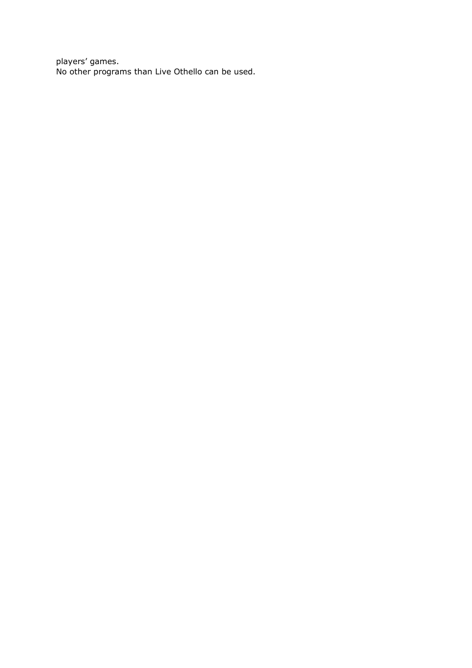players' games. No other programs than Live Othello can be used.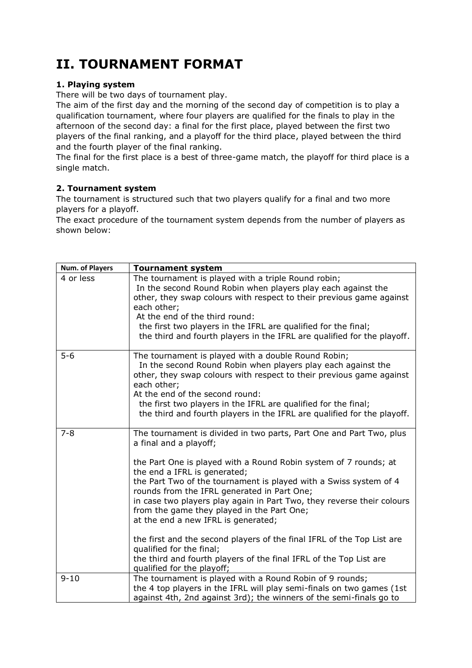## **II. TOURNAMENT FORMAT**

#### **1. Playing system**

There will be two days of tournament play.

The aim of the first day and the morning of the second day of competition is to play a qualification tournament, where four players are qualified for the finals to play in the afternoon of the second day: a final for the first place, played between the first two players of the final ranking, and a playoff for the third place, played between the third and the fourth player of the final ranking.

The final for the first place is a best of three-game match, the playoff for third place is a single match.

#### **2. Tournament system**

The tournament is structured such that two players qualify for a final and two more players for a playoff.

The exact procedure of the tournament system depends from the number of players as shown below:

| Num. of Players | <b>Tournament system</b>                                                                                                                                                                                                                                                                                                                                                                                                                                                             |
|-----------------|--------------------------------------------------------------------------------------------------------------------------------------------------------------------------------------------------------------------------------------------------------------------------------------------------------------------------------------------------------------------------------------------------------------------------------------------------------------------------------------|
| 4 or less       | The tournament is played with a triple Round robin;<br>In the second Round Robin when players play each against the<br>other, they swap colours with respect to their previous game against<br>each other;<br>At the end of the third round:<br>the first two players in the IFRL are qualified for the final;<br>the third and fourth players in the IFRL are qualified for the playoff.                                                                                            |
| $5 - 6$         | The tournament is played with a double Round Robin;<br>In the second Round Robin when players play each against the<br>other, they swap colours with respect to their previous game against<br>each other;<br>At the end of the second round:<br>the first two players in the IFRL are qualified for the final;<br>the third and fourth players in the IFRL are qualified for the playoff.                                                                                           |
| $7 - 8$         | The tournament is divided in two parts, Part One and Part Two, plus<br>a final and a playoff;<br>the Part One is played with a Round Robin system of 7 rounds; at<br>the end a IFRL is generated;<br>the Part Two of the tournament is played with a Swiss system of 4<br>rounds from the IFRL generated in Part One;<br>in case two players play again in Part Two, they reverse their colours<br>from the game they played in the Part One;<br>at the end a new IFRL is generated; |
|                 | the first and the second players of the final IFRL of the Top List are<br>qualified for the final;<br>the third and fourth players of the final IFRL of the Top List are<br>qualified for the playoff;                                                                                                                                                                                                                                                                               |
| $9 - 10$        | The tournament is played with a Round Robin of 9 rounds;<br>the 4 top players in the IFRL will play semi-finals on two games (1st<br>against 4th, 2nd against 3rd); the winners of the semi-finals go to                                                                                                                                                                                                                                                                             |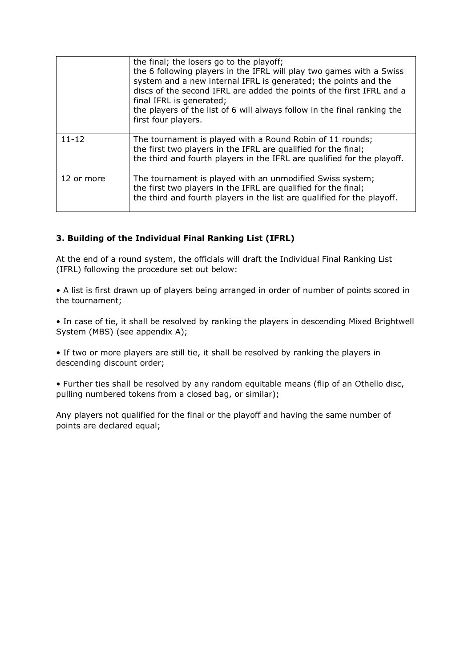|            | the final; the losers go to the playoff;<br>the 6 following players in the IFRL will play two games with a Swiss<br>system and a new internal IFRL is generated; the points and the<br>discs of the second IFRL are added the points of the first IFRL and a<br>final IFRL is generated;<br>the players of the list of 6 will always follow in the final ranking the<br>first four players. |
|------------|---------------------------------------------------------------------------------------------------------------------------------------------------------------------------------------------------------------------------------------------------------------------------------------------------------------------------------------------------------------------------------------------|
| $11 - 12$  | The tournament is played with a Round Robin of 11 rounds;<br>the first two players in the IFRL are qualified for the final;<br>the third and fourth players in the IFRL are qualified for the playoff.                                                                                                                                                                                      |
| 12 or more | The tournament is played with an unmodified Swiss system;<br>the first two players in the IFRL are qualified for the final;<br>the third and fourth players in the list are qualified for the playoff.                                                                                                                                                                                      |

#### **3. Building of the Individual Final Ranking List (IFRL)**

At the end of a round system, the officials will draft the Individual Final Ranking List (IFRL) following the procedure set out below:

• A list is first drawn up of players being arranged in order of number of points scored in the tournament;

• In case of tie, it shall be resolved by ranking the players in descending Mixed Brightwell System (MBS) (see appendix A);

• If two or more players are still tie, it shall be resolved by ranking the players in descending discount order;

• Further ties shall be resolved by any random equitable means (flip of an Othello disc, pulling numbered tokens from a closed bag, or similar);

Any players not qualified for the final or the playoff and having the same number of points are declared equal;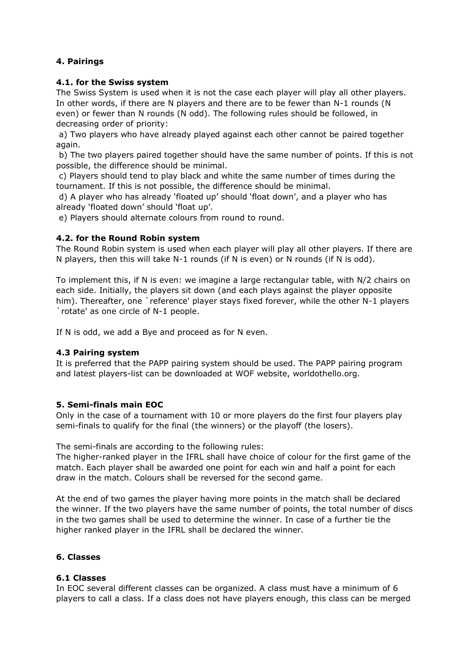#### **4. Pairings**

#### **4.1. for the Swiss system**

The Swiss System is used when it is not the case each player will play all other players. In other words, if there are N players and there are to be fewer than N-1 rounds (N even) or fewer than N rounds (N odd). The following rules should be followed, in decreasing order of priority:

a) Two players who have already played against each other cannot be paired together again.

b) The two players paired together should have the same number of points. If this is not possible, the difference should be minimal.

c) Players should tend to play black and white the same number of times during the tournament. If this is not possible, the difference should be minimal.

d) A player who has already 'floated up' should 'float down', and a player who has already 'floated down' should 'float up'.

e) Players should alternate colours from round to round.

#### **4.2. for the Round Robin system**

The Round Robin system is used when each player will play all other players. If there are N players, then this will take N-1 rounds (if N is even) or N rounds (if N is odd).

To implement this, if N is even: we imagine a large rectangular table, with N/2 chairs on each side. Initially, the players sit down (and each plays against the player opposite him). Thereafter, one `reference' player stays fixed forever, while the other N-1 players `rotate' as one circle of N-1 people.

If N is odd, we add a Bye and proceed as for N even.

#### **4.3 Pairing system**

It is preferred that the PAPP pairing system should be used. The PAPP pairing program and latest players-list can be downloaded at WOF website, worldothello.org.

#### **5. Semi-finals main EOC**

Only in the case of a tournament with 10 or more players do the first four players play semi-finals to qualify for the final (the winners) or the playoff (the losers).

The semi-finals are according to the following rules:

The higher-ranked player in the IFRL shall have choice of colour for the first game of the match. Each player shall be awarded one point for each win and half a point for each draw in the match. Colours shall be reversed for the second game.

At the end of two games the player having more points in the match shall be declared the winner. If the two players have the same number of points, the total number of discs in the two games shall be used to determine the winner. In case of a further tie the higher ranked player in the IFRL shall be declared the winner.

#### **6. Classes**

#### **6.1 Classes**

In EOC several different classes can be organized. A class must have a minimum of 6 players to call a class. If a class does not have players enough, this class can be merged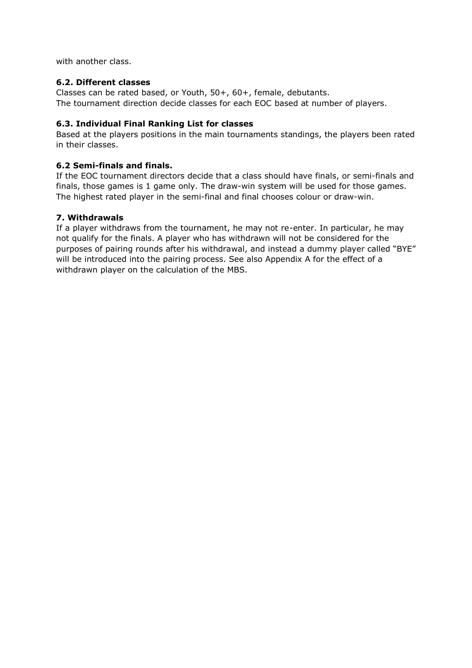with another class.

#### **6.2. Different classes**

Classes can be rated based, or Youth, 50+, 60+, female, debutants. The tournament direction decide classes for each EOC based at number of players.

#### **6.3. Individual Final Ranking List for classes**

Based at the players positions in the main tournaments standings, the players been rated in their classes.

#### **6.2 Semi-finals and finals.**

If the EOC tournament directors decide that a class should have finals, or semi-finals and finals, those games is 1 game only. The draw-win system will be used for those games. The highest rated player in the semi-final and final chooses colour or draw-win.

#### **7. Withdrawals**

If a player withdraws from the tournament, he may not re-enter. In particular, he may not qualify for the finals. A player who has withdrawn will not be considered for the purposes of pairing rounds after his withdrawal, and instead a dummy player called "BYE" will be introduced into the pairing process. See also Appendix A for the effect of a withdrawn player on the calculation of the MBS.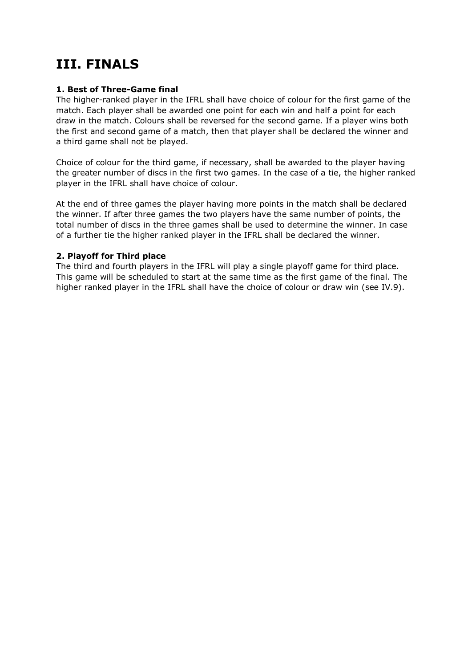### **III. FINALS**

#### **1. Best of Three-Game final**

The higher-ranked player in the IFRL shall have choice of colour for the first game of the match. Each player shall be awarded one point for each win and half a point for each draw in the match. Colours shall be reversed for the second game. If a player wins both the first and second game of a match, then that player shall be declared the winner and a third game shall not be played.

Choice of colour for the third game, if necessary, shall be awarded to the player having the greater number of discs in the first two games. In the case of a tie, the higher ranked player in the IFRL shall have choice of colour.

At the end of three games the player having more points in the match shall be declared the winner. If after three games the two players have the same number of points, the total number of discs in the three games shall be used to determine the winner. In case of a further tie the higher ranked player in the IFRL shall be declared the winner.

#### **2. Playoff for Third place**

The third and fourth players in the IFRL will play a single playoff game for third place. This game will be scheduled to start at the same time as the first game of the final. The higher ranked player in the IFRL shall have the choice of colour or draw win (see IV.9).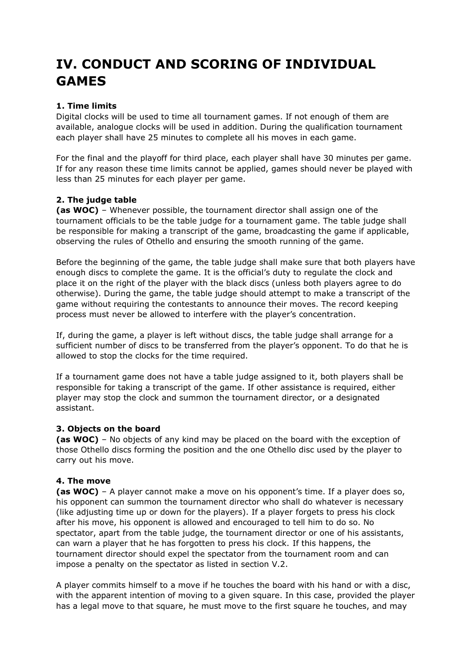### **IV. CONDUCT AND SCORING OF INDIVIDUAL GAMES**

#### **1. Time limits**

Digital clocks will be used to time all tournament games. If not enough of them are available, analogue clocks will be used in addition. During the qualification tournament each player shall have 25 minutes to complete all his moves in each game.

For the final and the playoff for third place, each player shall have 30 minutes per game. If for any reason these time limits cannot be applied, games should never be played with less than 25 minutes for each player per game.

#### **2. The judge table**

**(as WOC)** – Whenever possible, the tournament director shall assign one of the tournament officials to be the table judge for a tournament game. The table judge shall be responsible for making a transcript of the game, broadcasting the game if applicable, observing the rules of Othello and ensuring the smooth running of the game.

Before the beginning of the game, the table judge shall make sure that both players have enough discs to complete the game. It is the official's duty to regulate the clock and place it on the right of the player with the black discs (unless both players agree to do otherwise). During the game, the table judge should attempt to make a transcript of the game without requiring the contestants to announce their moves. The record keeping process must never be allowed to interfere with the player's concentration.

If, during the game, a player is left without discs, the table judge shall arrange for a sufficient number of discs to be transferred from the player's opponent. To do that he is allowed to stop the clocks for the time required.

If a tournament game does not have a table judge assigned to it, both players shall be responsible for taking a transcript of the game. If other assistance is required, either player may stop the clock and summon the tournament director, or a designated assistant.

#### **3. Objects on the board**

**(as WOC)** – No objects of any kind may be placed on the board with the exception of those Othello discs forming the position and the one Othello disc used by the player to carry out his move.

#### **4. The move**

**(as WOC)** – A player cannot make a move on his opponent's time. If a player does so, his opponent can summon the tournament director who shall do whatever is necessary (like adjusting time up or down for the players). If a player forgets to press his clock after his move, his opponent is allowed and encouraged to tell him to do so. No spectator, apart from the table judge, the tournament director or one of his assistants, can warn a player that he has forgotten to press his clock. If this happens, the tournament director should expel the spectator from the tournament room and can impose a penalty on the spectator as listed in section V.2.

A player commits himself to a move if he touches the board with his hand or with a disc, with the apparent intention of moving to a given square. In this case, provided the player has a legal move to that square, he must move to the first square he touches, and may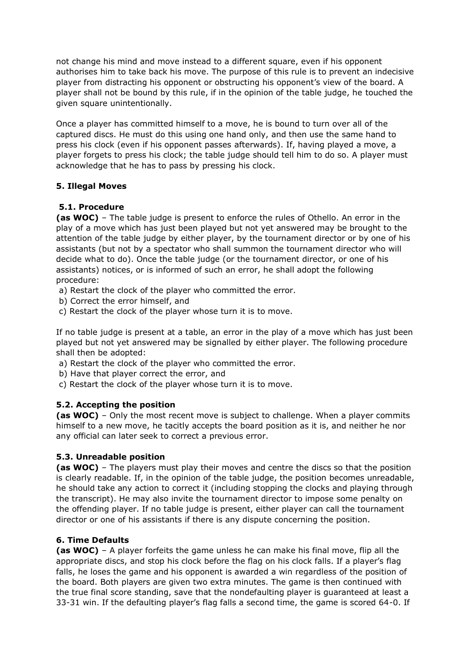not change his mind and move instead to a different square, even if his opponent authorises him to take back his move. The purpose of this rule is to prevent an indecisive player from distracting his opponent or obstructing his opponent's view of the board. A player shall not be bound by this rule, if in the opinion of the table judge, he touched the given square unintentionally.

Once a player has committed himself to a move, he is bound to turn over all of the captured discs. He must do this using one hand only, and then use the same hand to press his clock (even if his opponent passes afterwards). If, having played a move, a player forgets to press his clock; the table judge should tell him to do so. A player must acknowledge that he has to pass by pressing his clock.

#### **5. Illegal Moves**

#### **5.1. Procedure**

**(as WOC)** – The table judge is present to enforce the rules of Othello. An error in the play of a move which has just been played but not yet answered may be brought to the attention of the table judge by either player, by the tournament director or by one of his assistants (but not by a spectator who shall summon the tournament director who will decide what to do). Once the table judge (or the tournament director, or one of his assistants) notices, or is informed of such an error, he shall adopt the following procedure:

- a) Restart the clock of the player who committed the error.
- b) Correct the error himself, and
- c) Restart the clock of the player whose turn it is to move.

If no table judge is present at a table, an error in the play of a move which has just been played but not yet answered may be signalled by either player. The following procedure shall then be adopted:

- a) Restart the clock of the player who committed the error.
- b) Have that player correct the error, and
- c) Restart the clock of the player whose turn it is to move.

#### **5.2. Accepting the position**

**(as WOC)** – Only the most recent move is subject to challenge. When a player commits himself to a new move, he tacitly accepts the board position as it is, and neither he nor any official can later seek to correct a previous error.

#### **5.3. Unreadable position**

**(as WOC)** – The players must play their moves and centre the discs so that the position is clearly readable. If, in the opinion of the table judge, the position becomes unreadable, he should take any action to correct it (including stopping the clocks and playing through the transcript). He may also invite the tournament director to impose some penalty on the offending player. If no table judge is present, either player can call the tournament director or one of his assistants if there is any dispute concerning the position.

#### **6. Time Defaults**

**(as WOC)** – A player forfeits the game unless he can make his final move, flip all the appropriate discs, and stop his clock before the flag on his clock falls. If a player's flag falls, he loses the game and his opponent is awarded a win regardless of the position of the board. Both players are given two extra minutes. The game is then continued with the true final score standing, save that the nondefaulting player is guaranteed at least a 33-31 win. If the defaulting player's flag falls a second time, the game is scored 64-0. If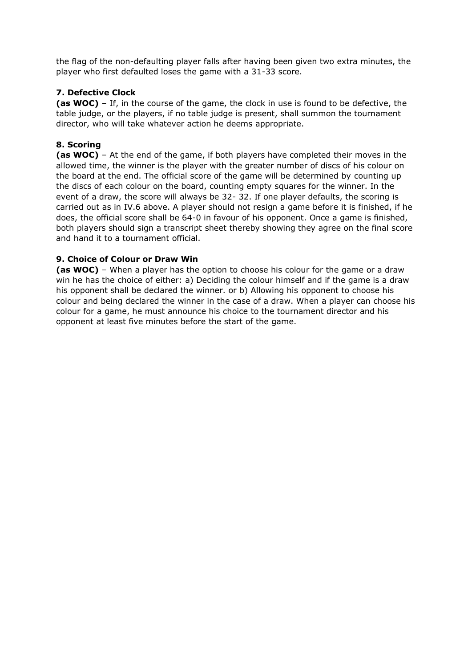the flag of the non-defaulting player falls after having been given two extra minutes, the player who first defaulted loses the game with a 31-33 score.

#### **7. Defective Clock**

**(as WOC)** – If, in the course of the game, the clock in use is found to be defective, the table judge, or the players, if no table judge is present, shall summon the tournament director, who will take whatever action he deems appropriate.

#### **8. Scoring**

**(as WOC)** – At the end of the game, if both players have completed their moves in the allowed time, the winner is the player with the greater number of discs of his colour on the board at the end. The official score of the game will be determined by counting up the discs of each colour on the board, counting empty squares for the winner. In the event of a draw, the score will always be 32- 32. If one player defaults, the scoring is carried out as in IV.6 above. A player should not resign a game before it is finished, if he does, the official score shall be 64-0 in favour of his opponent. Once a game is finished, both players should sign a transcript sheet thereby showing they agree on the final score and hand it to a tournament official.

#### **9. Choice of Colour or Draw Win**

**(as WOC)** – When a player has the option to choose his colour for the game or a draw win he has the choice of either: a) Deciding the colour himself and if the game is a draw his opponent shall be declared the winner. or b) Allowing his opponent to choose his colour and being declared the winner in the case of a draw. When a player can choose his colour for a game, he must announce his choice to the tournament director and his opponent at least five minutes before the start of the game.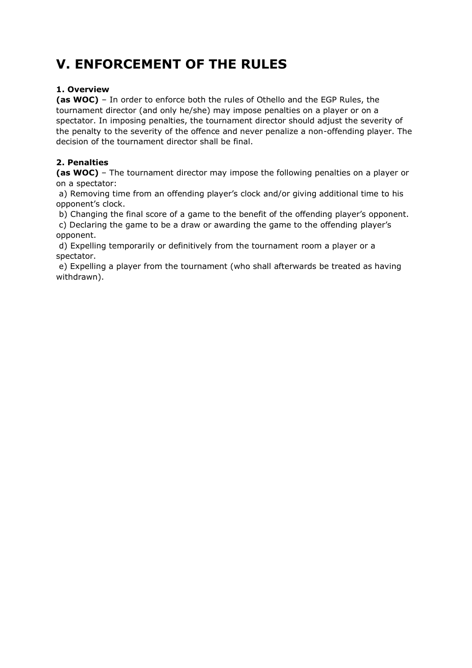## **V. ENFORCEMENT OF THE RULES**

#### **1. Overview**

**(as WOC)** – In order to enforce both the rules of Othello and the EGP Rules, the tournament director (and only he/she) may impose penalties on a player or on a spectator. In imposing penalties, the tournament director should adjust the severity of the penalty to the severity of the offence and never penalize a non-offending player. The decision of the tournament director shall be final.

#### **2. Penalties**

**(as WOC)** – The tournament director may impose the following penalties on a player or on a spectator:

a) Removing time from an offending player's clock and/or giving additional time to his opponent's clock.

b) Changing the final score of a game to the benefit of the offending player's opponent.

c) Declaring the game to be a draw or awarding the game to the offending player's opponent.

d) Expelling temporarily or definitively from the tournament room a player or a spectator.

e) Expelling a player from the tournament (who shall afterwards be treated as having withdrawn).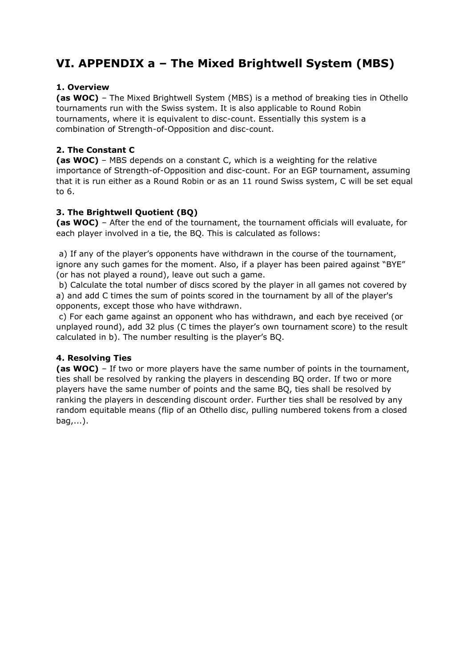### **VI. APPENDIX a – The Mixed Brightwell System (MBS)**

#### **1. Overview**

**(as WOC)** – The Mixed Brightwell System (MBS) is a method of breaking ties in Othello tournaments run with the Swiss system. It is also applicable to Round Robin tournaments, where it is equivalent to disc-count. Essentially this system is a combination of Strength-of-Opposition and disc-count.

#### **2. The Constant C**

**(as WOC)** – MBS depends on a constant C, which is a weighting for the relative importance of Strength-of-Opposition and disc-count. For an EGP tournament, assuming that it is run either as a Round Robin or as an 11 round Swiss system, C will be set equal to 6.

#### **3. The Brightwell Quotient (BQ)**

**(as WOC)** – After the end of the tournament, the tournament officials will evaluate, for each player involved in a tie, the BQ. This is calculated as follows:

a) If any of the player's opponents have withdrawn in the course of the tournament, ignore any such games for the moment. Also, if a player has been paired against "BYE" (or has not played a round), leave out such a game.

b) Calculate the total number of discs scored by the player in all games not covered by a) and add C times the sum of points scored in the tournament by all of the player's opponents, except those who have withdrawn.

c) For each game against an opponent who has withdrawn, and each bye received (or unplayed round), add 32 plus (C times the player's own tournament score) to the result calculated in b). The number resulting is the player's BQ.

#### **4. Resolving Ties**

**(as WOC)** – If two or more players have the same number of points in the tournament, ties shall be resolved by ranking the players in descending BQ order. If two or more players have the same number of points and the same BQ, ties shall be resolved by ranking the players in descending discount order. Further ties shall be resolved by any random equitable means (flip of an Othello disc, pulling numbered tokens from a closed bag,...).